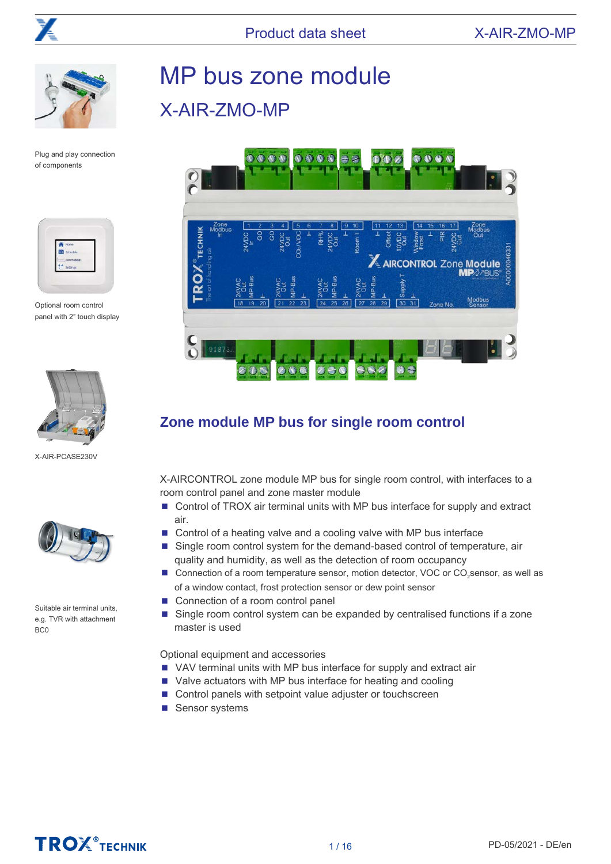



Plug and play connection of components



Optional room control panel with 2" touch display



X-AIR-PCASE230V



Suitable air terminal units, e.g. TVR with attachment B<sub>C0</sub>

# MP bus zone module X-AIR-ZMO-MP



# **Zone module MP bus for single room control**

X-AIRCONTROL zone module MP bus for single room control, with interfaces to a room control panel and zone master module

- Control of TROX air terminal units with MP bus interface for supply and extract air.
- Control of a heating valve and a cooling valve with MP bus interface
- Single room control system for the demand-based control of temperature, air quality and humidity, as well as the detection of room occupancy
- Connection of a room temperature sensor, motion detector, VOC or CO<sub>2</sub>sensor, as well as of a window contact, frost protection sensor or dew point sensor
- Connection of a room control panel
- Single room control system can be expanded by centralised functions if a zone master is used

Optional equipment and accessories

- VAV terminal units with MP bus interface for supply and extract air
- Valve actuators with MP bus interface for heating and cooling
- Control panels with setpoint value adjuster or touchscreen
- Sensor systems

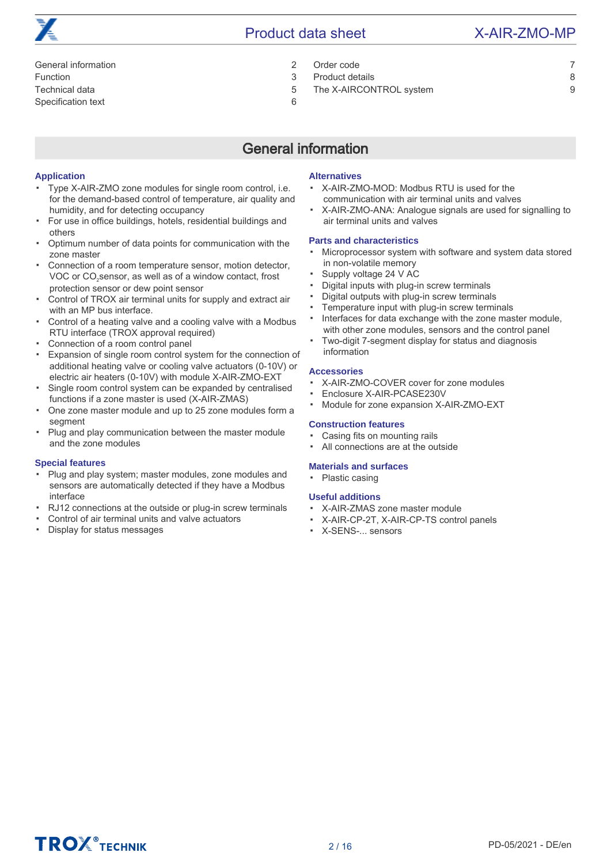- [General information 2](#page-1-0) [Order code 7](#page-6-0)
- [Function 3](#page-2-0) [Product details 8](#page-7-0)

[Technical data 5](#page-4-0) [The X-AIRCONTROL system 9](#page-8-0)

[Specification text 6](#page-5-0)

# General information

#### <span id="page-1-0"></span>**Application**

- Type X-AIR-ZMO zone modules for single room control, i.e. for the demand-based control of temperature, air quality and humidity, and for detecting occupancy
- For use in office buildings, hotels, residential buildings and others
- Optimum number of data points for communication with the zone master
- Connection of a room temperature sensor, motion detector, VOC or CO<sub>2</sub>sensor, as well as of a window contact, frost protection sensor or dew point sensor
- Control of TROX air terminal units for supply and extract air with an MP bus interface.
- Control of a heating valve and a cooling valve with a Modbus RTU interface (TROX approval required)
- Connection of a room control panel
- Expansion of single room control system for the connection of additional heating valve or cooling valve actuators (0-10V) or electric air heaters (0-10V) with module X-AIR-ZMO-EXT
- Single room control system can be expanded by centralised functions if a zone master is used (X-AIR-ZMAS)
- One zone master module and up to 25 zone modules form a segment
- Plug and play communication between the master module and the zone modules

#### **Special features**

- Plug and play system; master modules, zone modules and sensors are automatically detected if they have a Modbus interface
- RJ12 connections at the outside or plug-in screw terminals
- Control of air terminal units and valve actuators
- Display for status messages

### **Alternatives**

- X-AIR-ZMO-MOD: Modbus RTU is used for the communication with air terminal units and valves
- X-AIR-ZMO-ANA: Analogue signals are used for signalling to air terminal units and valves

#### **Parts and characteristics**

- Microprocessor system with software and system data stored in non-volatile memory
- Supply voltage 24 V AC
- Digital inputs with plug-in screw terminals
- Digital outputs with plug-in screw terminals
- Temperature input with plug-in screw terminals
- Interfaces for data exchange with the zone master module, with other zone modules, sensors and the control panel
- Two-digit 7-segment display for status and diagnosis information

#### **Accessories**

- X-AIR-ZMO-COVER cover for zone modules
- Enclosure X-AIR-PCASE230V
- Module for zone expansion X-AIR-ZMO-EXT

#### **Construction features**

- Casing fits on mounting rails
- All connections are at the outside

#### **Materials and surfaces**

▪ Plastic casing

### **Useful additions**

- X-AIR-ZMAS zone master module
- X-AIR-CP-2T, X-AIR-CP-TS control panels
- X-SENS-... sensors



- 
-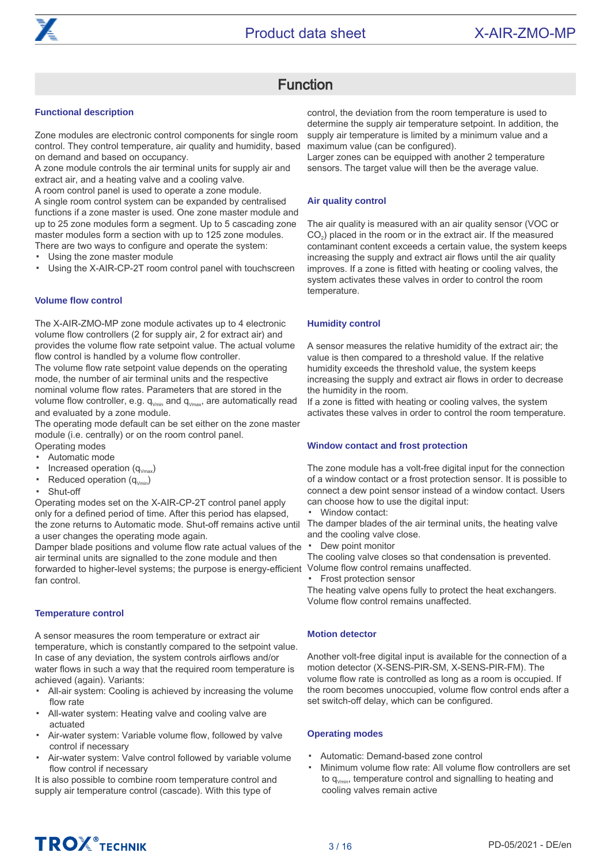# Function

#### <span id="page-2-0"></span>**Functional description**

Zone modules are electronic control components for single room control. They control temperature, air quality and humidity, based on demand and based on occupancy.

A zone module controls the air terminal units for supply air and extract air, and a heating valve and a cooling valve.

A room control panel is used to operate a zone module. A single room control system can be expanded by centralised functions if a zone master is used. One zone master module and up to 25 zone modules form a segment. Up to 5 cascading zone master modules form a section with up to 125 zone modules. There are two ways to configure and operate the system:

- Using the zone master module
- Using the X-AIR-CP-2T room control panel with touchscreen

#### **Volume flow control**

The X-AIR-ZMO-MP zone module activates up to 4 electronic volume flow controllers (2 for supply air, 2 for extract air) and provides the volume flow rate setpoint value. The actual volume flow control is handled by a volume flow controller.

The volume flow rate setpoint value depends on the operating mode, the number of air terminal units and the respective nominal volume flow rates. Parameters that are stored in the volume flow controller, e.g.  $q_{Vmin}$  and  $q_{Vmax}$ , are automatically read and evaluated by a zone module.

The operating mode default can be set either on the zone master module (i.e. centrally) or on the room control panel.

- Operating modes Automatic mode
- ▪
- Increased operation  $(q_{Vmax})$ Reduced operation  $(q_{\text{Vmin}})$
- Shut-off

▪ Operating modes set on the X-AIR-CP-2T control panel apply only for a defined period of time. After this period has elapsed,

the zone returns to Automatic mode. Shut-off remains active until a user changes the operating mode again. Damper blade positions and volume flow rate actual values of the

air terminal units are signalled to the zone module and then forwarded to higher-level systems; the purpose is energy-efficient Volume flow control remains unaffected. fan control.

#### **Temperature control**

A sensor measures the room temperature or extract air temperature, which is constantly compared to the setpoint value. In case of any deviation, the system controls airflows and/or water flows in such a way that the required room temperature is achieved (again). Variants:

- All-air system: Cooling is achieved by increasing the volume flow rate
- All-water system: Heating valve and cooling valve are actuated
- Air-water system: Variable volume flow, followed by valve control if necessary
- Air-water system: Valve control followed by variable volume flow control if necessary

It is also possible to combine room temperature control and supply air temperature control (cascade). With this type of

control, the deviation from the room temperature is used to determine the supply air temperature setpoint. In addition, the supply air temperature is limited by a minimum value and a maximum value (can be configured).

Larger zones can be equipped with another 2 temperature sensors. The target value will then be the average value.

#### **Air quality control**

The air quality is measured with an air quality sensor (VOC or CO<sub>2</sub>) placed in the room or in the extract air. If the measured contaminant content exceeds a certain value, the system keeps increasing the supply and extract air flows until the air quality improves. If a zone is fitted with heating or cooling valves, the system activates these valves in order to control the room temperature.

#### **Humidity control**

A sensor measures the relative humidity of the extract air; the value is then compared to a threshold value. If the relative humidity exceeds the threshold value, the system keeps increasing the supply and extract air flows in order to decrease the humidity in the room.

If a zone is fitted with heating or cooling valves, the system activates these valves in order to control the room temperature.

#### **Window contact and frost protection**

The zone module has a volt-free digital input for the connection of a window contact or a frost protection sensor. It is possible to connect a dew point sensor instead of a window contact. Users can choose how to use the digital input:

▪ Window contact:

The damper blades of the air terminal units, the heating valve and the cooling valve close.

▪ Dew point monitor

The cooling valve closes so that condensation is prevented.

▪ Frost protection sensor

The heating valve opens fully to protect the heat exchangers. Volume flow control remains unaffected.

#### **Motion detector**

Another volt-free digital input is available for the connection of a motion detector (X-SENS-PIR-SM, X-SENS-PIR-FM). The volume flow rate is controlled as long as a room is occupied. If the room becomes unoccupied, volume flow control ends after a set switch-off delay, which can be configured.

#### **Operating modes**

- Automatic: Demand-based zone control
- Minimum volume flow rate: All volume flow controllers are set to  $q_{Vmin}$ , temperature control and signalling to heating and cooling valves remain active

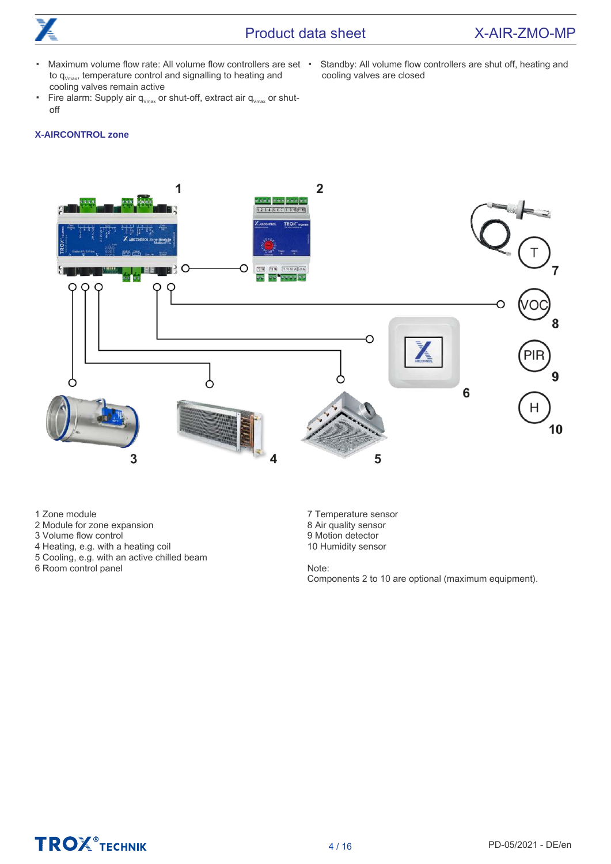

### Product data sheet X-AIR-ZMO-MP

- Maximum volume flow rate: All volume flow controllers are set  $\cdot$ to  $q_{Vmax}$ , temperature control and signalling to heating and cooling valves remain active
- Standby: All volume flow controllers are shut off, heating and cooling valves are closed
- Fire alarm: Supply air  $q_{V_{\text{max}}}$  or shut-off, extract air  $q_{V_{\text{max}}}$  or shutoff

#### **X-AIRCONTROL zone**



1 Zone module

- 2 Module for zone expansion
- 3 Volume flow control
- 4 Heating, e.g. with a heating coil
- 5 Cooling, e.g. with an active chilled beam

6 Room control panel

7 Temperature sensor 8 Air quality sensor 9 Motion detector 10 Humidity sensor

Note: Components 2 to 10 are optional (maximum equipment).

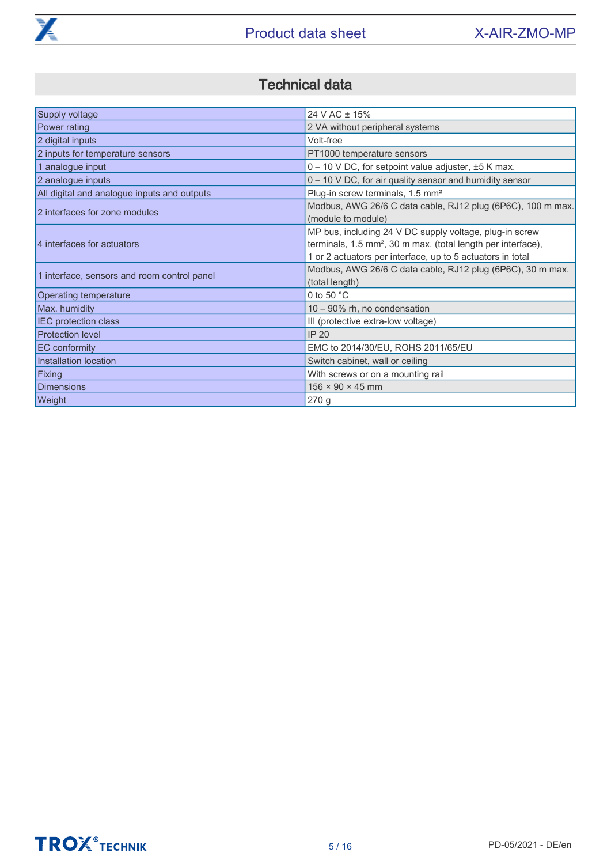

# Technical data

<span id="page-4-0"></span>

| Supply voltage                              | 24 V AC ± 15%                                                                                                                                                                                     |
|---------------------------------------------|---------------------------------------------------------------------------------------------------------------------------------------------------------------------------------------------------|
| Power rating                                | 2 VA without peripheral systems                                                                                                                                                                   |
| 2 digital inputs                            | Volt-free                                                                                                                                                                                         |
| 2 inputs for temperature sensors            | PT1000 temperature sensors                                                                                                                                                                        |
| 1 analogue input                            | $0 - 10$ V DC, for setpoint value adjuster, $\pm 5$ K max.                                                                                                                                        |
| 2 analogue inputs                           | 0 - 10 V DC, for air quality sensor and humidity sensor                                                                                                                                           |
| All digital and analogue inputs and outputs | Plug-in screw terminals, 1.5 mm <sup>2</sup>                                                                                                                                                      |
| 2 interfaces for zone modules               | Modbus, AWG 26/6 C data cable, RJ12 plug (6P6C), 100 m max.<br>(module to module)                                                                                                                 |
| 4 interfaces for actuators                  | MP bus, including 24 V DC supply voltage, plug-in screw<br>terminals, 1.5 mm <sup>2</sup> , 30 m max. (total length per interface),<br>1 or 2 actuators per interface, up to 5 actuators in total |
| 1 interface, sensors and room control panel | Modbus, AWG 26/6 C data cable, RJ12 plug (6P6C), 30 m max.<br>(total length)                                                                                                                      |
| <b>Operating temperature</b>                | 0 to 50 $^{\circ}$ C                                                                                                                                                                              |
| Max. humidity                               | 10 - 90% rh, no condensation                                                                                                                                                                      |
| <b>IEC</b> protection class                 | III (protective extra-low voltage)                                                                                                                                                                |
| <b>Protection level</b>                     | <b>IP 20</b>                                                                                                                                                                                      |
| <b>EC</b> conformity                        | EMC to 2014/30/EU, ROHS 2011/65/EU                                                                                                                                                                |
| Installation location                       | Switch cabinet, wall or ceiling                                                                                                                                                                   |
| Fixing                                      | With screws or on a mounting rail                                                                                                                                                                 |
| Dimensions                                  | $156 \times 90 \times 45$ mm                                                                                                                                                                      |
| Weight                                      | 270g                                                                                                                                                                                              |

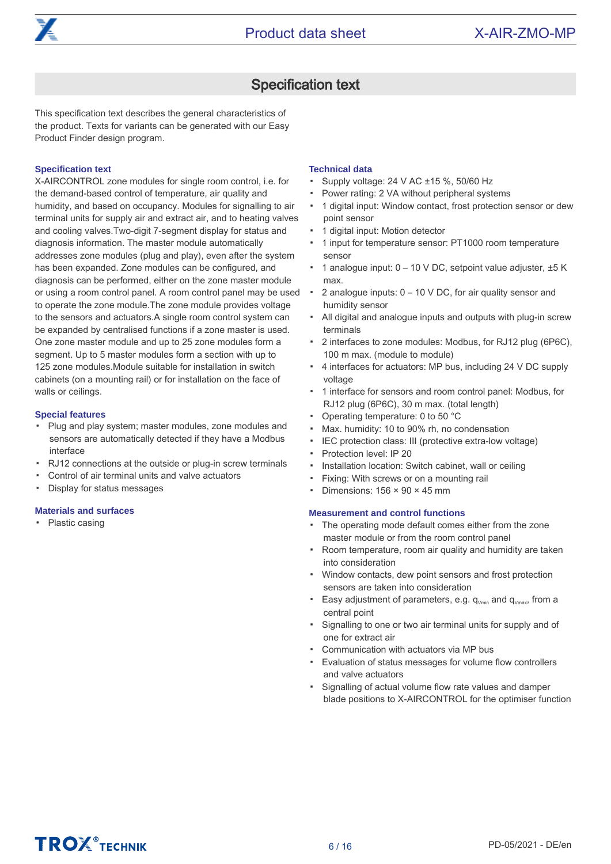

## Specification text

<span id="page-5-0"></span>This specification text describes the general characteristics of the product. Texts for variants can be generated with our Easy Product Finder design program.

#### **Specification text**

X-AIRCONTROL zone modules for single room control, i.e. for the demand-based control of temperature, air quality and humidity, and based on occupancy. Modules for signalling to air terminal units for supply air and extract air, and to heating valves and cooling valves.Two-digit 7-segment display for status and diagnosis information. The master module automatically addresses zone modules (plug and play), even after the system has been expanded. Zone modules can be configured, and diagnosis can be performed, either on the zone master module or using a room control panel. A room control panel may be used to operate the zone module.The zone module provides voltage to the sensors and actuators.A single room control system can be expanded by centralised functions if a zone master is used. One zone master module and up to 25 zone modules form a segment. Up to 5 master modules form a section with up to 125 zone modules.Module suitable for installation in switch cabinets (on a mounting rail) or for installation on the face of walls or ceilings.

#### **Special features**

- Plug and play system; master modules, zone modules and sensors are automatically detected if they have a Modbus interface
- RJ12 connections at the outside or plug-in screw terminals
- Control of air terminal units and valve actuators
- Display for status messages

#### **Materials and surfaces**

• Plastic casing

#### **Technical data**

- Supply voltage: 24 V AC ±15 %, 50/60 Hz
- Power rating: 2 VA without peripheral systems
- 1 digital input: Window contact, frost protection sensor or dew point sensor
- 1 digital input: Motion detector
- 1 input for temperature sensor: PT1000 room temperature sensor
- 1 analogue input: 0 10 V DC, setpoint value adjuster, ±5 K max.
- 2 analogue inputs: 0 – 10 V DC, for air quality sensor and humidity sensor
- All digital and analogue inputs and outputs with plug-in screw terminals
- 2 interfaces to zone modules: Modbus, for RJ12 plug (6P6C), 100 m max. (module to module)
- 4 interfaces for actuators: MP bus, including 24 V DC supply voltage
- 1 interface for sensors and room control panel: Modbus, for RJ12 plug (6P6C), 30 m max. (total length)
- Operating temperature: 0 to 50 °C
- Max. humidity: 10 to 90% rh, no condensation
- IEC protection class: III (protective extra-low voltage)
- Protection level: IP 20
- Installation location: Switch cabinet, wall or ceiling
- Fixing: With screws or on a mounting rail
- Dimensions:  $156 \times 90 \times 45$  mm

#### **Measurement and control functions**

- The operating mode default comes either from the zone master module or from the room control panel
- Room temperature, room air quality and humidity are taken into consideration
- Window contacts, dew point sensors and frost protection sensors are taken into consideration
- Easy adjustment of parameters, e.g.  $q_{V_{min}}$  and  $q_{V_{max}}$ , from a central point
- Signalling to one or two air terminal units for supply and of one for extract air
- Communication with actuators via MP bus
- Evaluation of status messages for volume flow controllers and valve actuators
- Signalling of actual volume flow rate values and damper blade positions to X-AIRCONTROL for the optimiser function

# **TROX** TECHNIK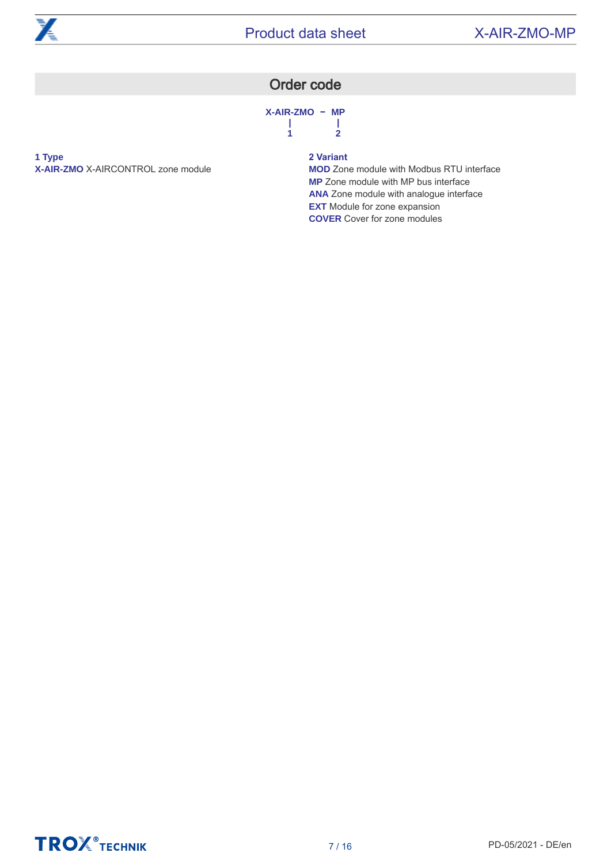<span id="page-6-0"></span>

# Order code

**X-AIR-ZMO − MP | | 1 2**

**1 Type X-AIR-ZMO** X-AIRCONTROL zone module

### **2 Variant**

**MOD** Zone module with Modbus RTU interface **MP** Zone module with MP bus interface **ANA** Zone module with analogue interface **EXT** Module for zone expansion **COVER** Cover for zone modules

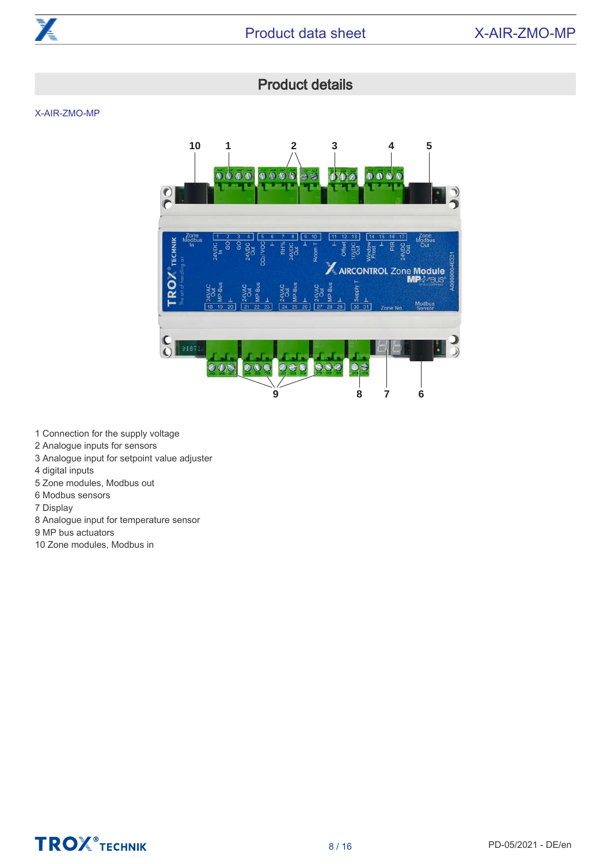

# Product details

<span id="page-7-0"></span>X-AIR-ZMO-MP



1 Connection for the supply voltage

- 2 Analogue inputs for sensors
- 3 Analogue input for setpoint value adjuster
- 4 digital inputs
- 5 Zone modules, Modbus out
- 6 Modbus sensors
- 7 Display
- 8 Analogue input for temperature sensor
- 9 MP bus actuators
- 10 Zone modules, Modbus in

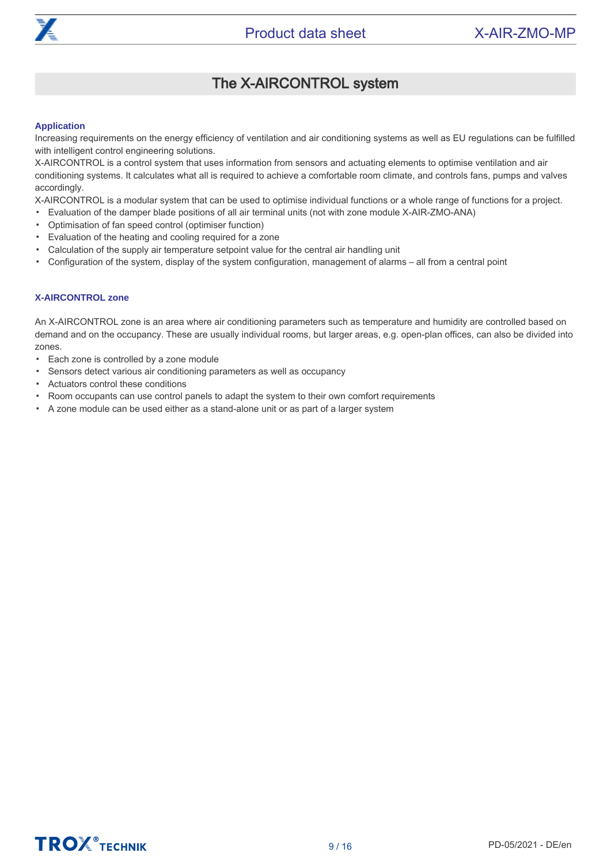

#### <span id="page-8-0"></span>**Application**

Increasing requirements on the energy efficiency of ventilation and air conditioning systems as well as EU regulations can be fulfilled with intelligent control engineering solutions.

X-AIRCONTROL is a control system that uses information from sensors and actuating elements to optimise ventilation and air conditioning systems. It calculates what all is required to achieve a comfortable room climate, and controls fans, pumps and valves accordingly.

X-AIRCONTROL is a modular system that can be used to optimise individual functions or a whole range of functions for a project.

- Evaluation of the damper blade positions of all air terminal units (not with zone module X-AIR-ZMO-ANA)
- Optimisation of fan speed control (optimiser function)
- Evaluation of the heating and cooling required for a zone
- Calculation of the supply air temperature setpoint value for the central air handling unit
- Configuration of the system, display of the system configuration, management of alarms – all from a central point

#### **X-AIRCONTROL zone**

An X-AIRCONTROL zone is an area where air conditioning parameters such as temperature and humidity are controlled based on demand and on the occupancy. These are usually individual rooms, but larger areas, e.g. open-plan offices, can also be divided into zones.

- Each zone is controlled by a zone module
- Sensors detect various air conditioning parameters as well as occupancy
- Actuators control these conditions
- Room occupants can use control panels to adapt the system to their own comfort requirements
- A zone module can be used either as a stand-alone unit or as part of a larger system

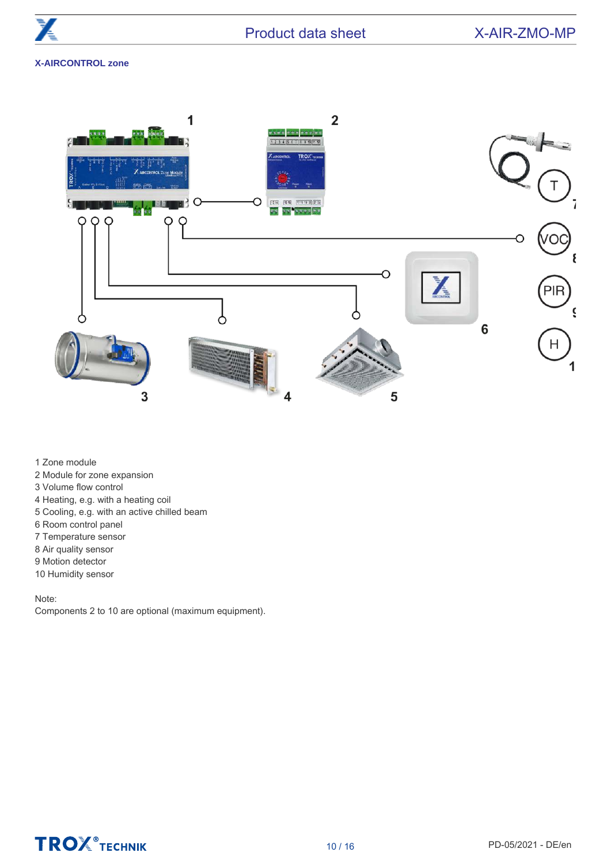### **X-AIRCONTROL zone**



1 Zone module

- 2 Module for zone expansion
- 3 Volume flow control
- 4 Heating, e.g. with a heating coil
- 5 Cooling, e.g. with an active chilled beam
- 6 Room control panel
- 7 Temperature sensor
- 8 Air quality sensor
- 9 Motion detector
- 10 Humidity sensor

#### Note:

Components 2 to 10 are optional (maximum equipment).

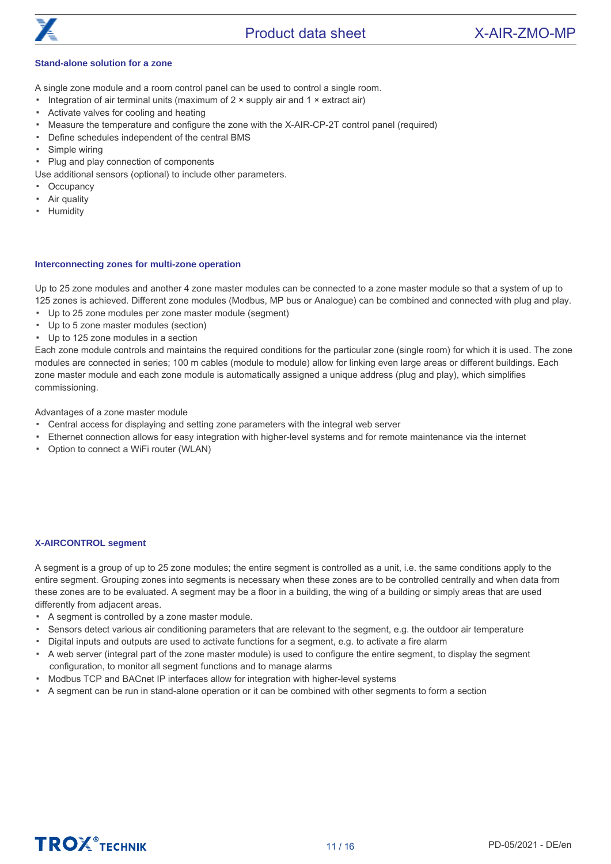

### Product data sheet X-AIR-ZMO-MP

#### **Stand-alone solution for a zone**

A single zone module and a room control panel can be used to control a single room.

- Integration of air terminal units (maximum of  $2 \times$  supply air and  $1 \times$  extract air)
- Activate valves for cooling and heating
- Measure the temperature and configure the zone with the X-AIR-CP-2T control panel (required)
- Define schedules independent of the central BMS
- Simple wiring
- Plug and play connection of components
- Use additional sensors (optional) to include other parameters.
- **Occupancy**
- Air quality
- Humidity

#### **Interconnecting zones for multi-zone operation**

Up to 25 zone modules and another 4 zone master modules can be connected to a zone master module so that a system of up to 125 zones is achieved. Different zone modules (Modbus, MP bus or Analogue) can be combined and connected with plug and play.

- Up to 25 zone modules per zone master module (segment)
- Up to 5 zone master modules (section)
- Up to 125 zone modules in a section

Each zone module controls and maintains the required conditions for the particular zone (single room) for which it is used. The zone modules are connected in series; 100 m cables (module to module) allow for linking even large areas or different buildings. Each zone master module and each zone module is automatically assigned a unique address (plug and play), which simplifies commissioning.

Advantages of a zone master module

- Central access for displaying and setting zone parameters with the integral web server
- Ethernet connection allows for easy integration with higher-level systems and for remote maintenance via the internet
- Option to connect a WiFi router (WLAN)

#### **X-AIRCONTROL segment**

A segment is a group of up to 25 zone modules; the entire segment is controlled as a unit, i.e. the same conditions apply to the entire segment. Grouping zones into segments is necessary when these zones are to be controlled centrally and when data from these zones are to be evaluated. A segment may be a floor in a building, the wing of a building or simply areas that are used differently from adjacent areas.

- A segment is controlled by a zone master module.
- Sensors detect various air conditioning parameters that are relevant to the segment, e.g. the outdoor air temperature
- Digital inputs and outputs are used to activate functions for a segment, e.g. to activate a fire alarm
- A web server (integral part of the zone master module) is used to configure the entire segment, to display the segment configuration, to monitor all segment functions and to manage alarms
- Modbus TCP and BACnet IP interfaces allow for integration with higher-level systems
- A segment can be run in stand-alone operation or it can be combined with other segments to form a section

# **TROZ**<sup>®</sup>TECHNIK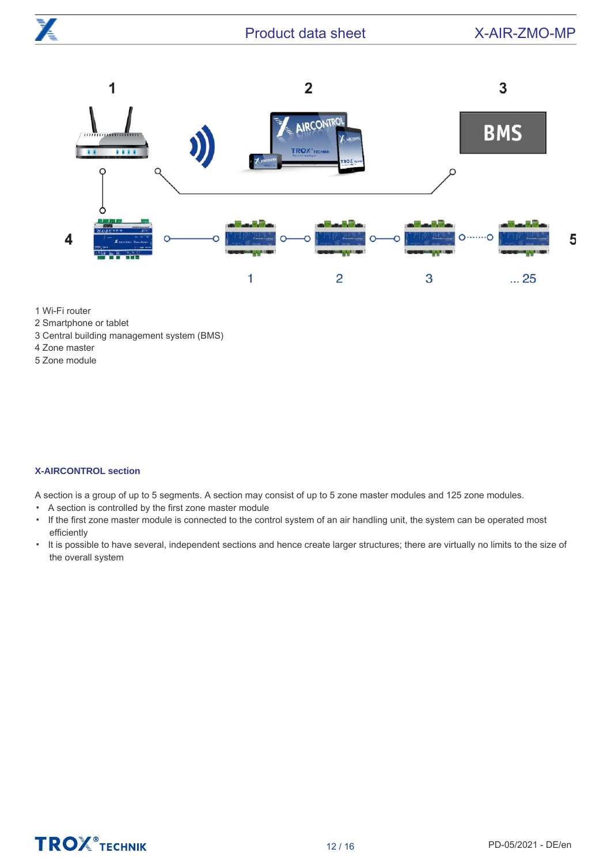

1 Wi-Fi router

- 2 Smartphone or tablet
- 3 Central building management system (BMS)
- 4 Zone master
- 5 Zone module

#### **X-AIRCONTROL section**

A section is a group of up to 5 segments. A section may consist of up to 5 zone master modules and 125 zone modules.

- A section is controlled by the first zone master module
- If the first zone master module is connected to the control system of an air handling unit, the system can be operated most efficiently
- It is possible to have several, independent sections and hence create larger structures; there are virtually no limits to the size of the overall system

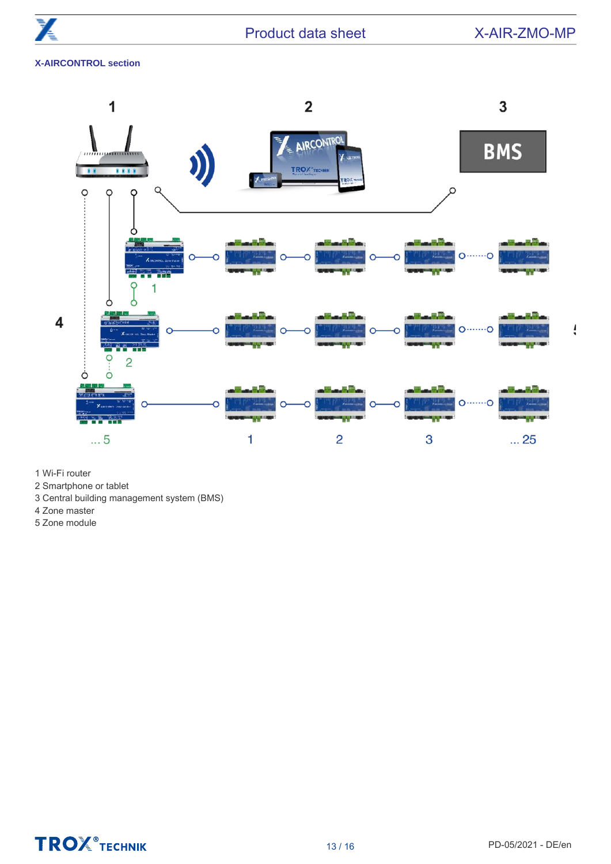$\frac{1}{2}$ 

### **X-AIRCONTROL section**



- 1 Wi-Fi router
- 2 Smartphone or tablet
- 3 Central building management system (BMS)
- 4 Zone master
- 5 Zone module

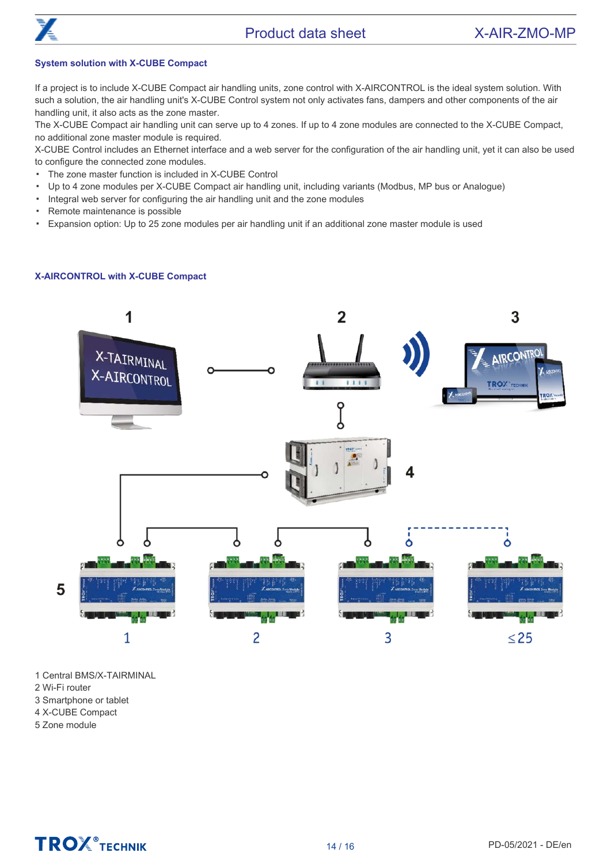

#### **System solution with X-CUBE Compact**

If a project is to include X-CUBE Compact air handling units, zone control with X-AIRCONTROL is the ideal system solution. With such a solution, the air handling unit's X-CUBE Control system not only activates fans, dampers and other components of the air handling unit, it also acts as the zone master.

The X-CUBE Compact air handling unit can serve up to 4 zones. If up to 4 zone modules are connected to the X-CUBE Compact, no additional zone master module is required.

X-CUBE Control includes an Ethernet interface and a web server for the configuration of the air handling unit, yet it can also be used to configure the connected zone modules.

- The zone master function is included in X-CUBE Control
- Up to 4 zone modules per X-CUBE Compact air handling unit, including variants (Modbus, MP bus or Analogue)
- Integral web server for configuring the air handling unit and the zone modules
- Remote maintenance is possible
- Expansion option: Up to 25 zone modules per air handling unit if an additional zone master module is used

#### **X-AIRCONTROL with X-CUBE Compact**



1 Central BMS/X-TAIRMINAL

- 2 Wi-Fi router
- 3 Smartphone or tablet
- 4 X-CUBE Compact
- 5 Zone module

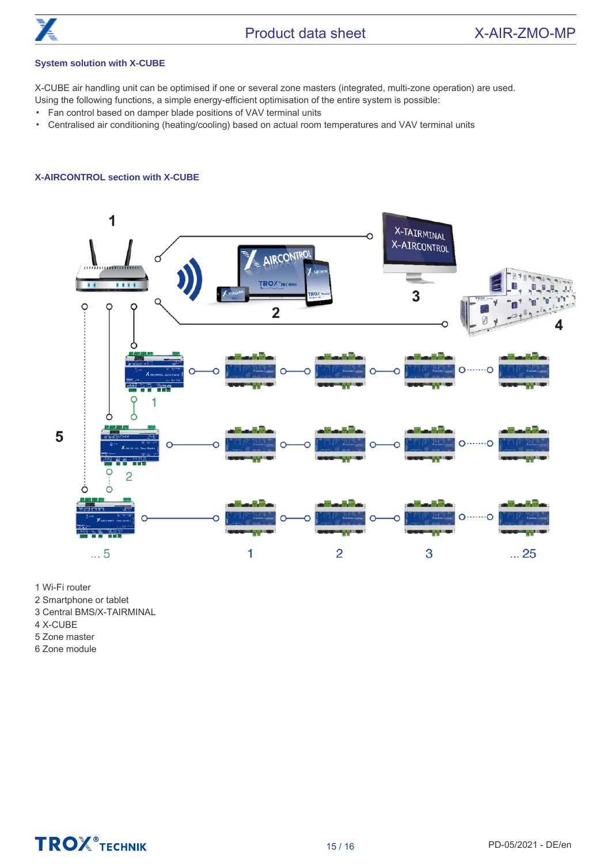

### Product data sheet X-AIR-ZMO-MP

#### **System solution with X-CUBE**

X-CUBE air handling unit can be optimised if one or several zone masters (integrated, multi-zone operation) are used. Using the following functions, a simple energy-efficient optimisation of the entire system is possible:

- Fan control based on damper blade positions of VAV terminal units
- Centralised air conditioning (heating/cooling) based on actual room temperatures and VAV terminal units

#### **X-AIRCONTROL section with X-CUBE**



1 Wi-Fi router

2 Smartphone or tablet

3 Central BMS/X-TAIRMINAL

- 4 X-CUBE
- 5 Zone master

6 Zone module